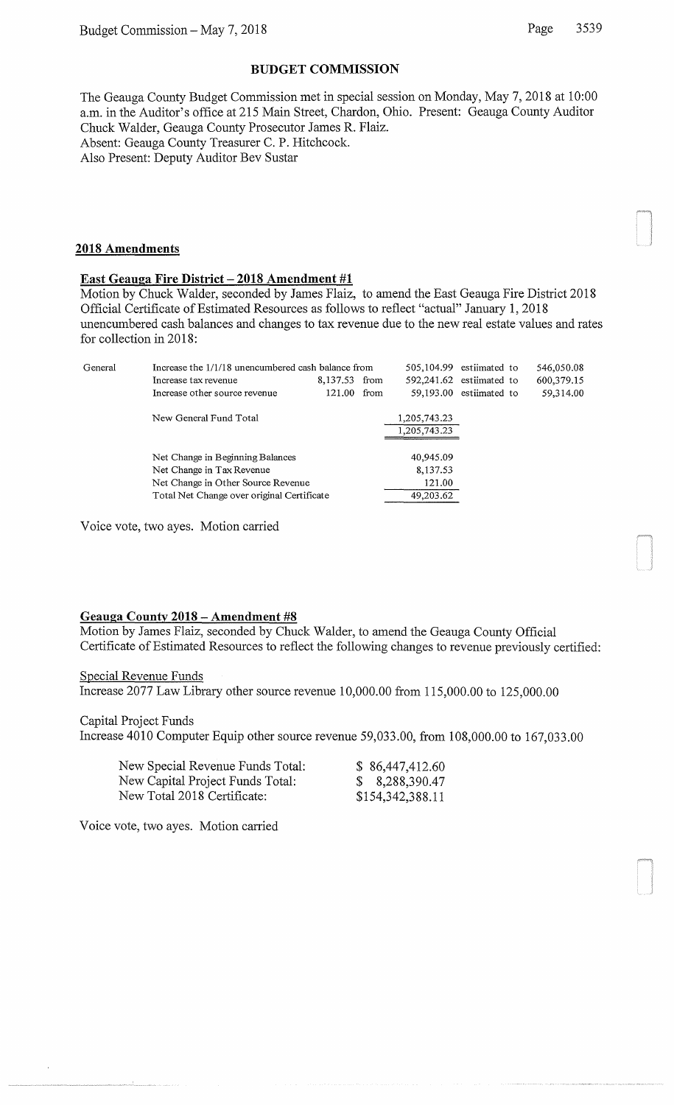### **BUDGET COMMISSION**

The Geauga County Budget Commission met in special session on Monday, May 7, 2018 at 10:00 a.m. in the Auditor's office at 215 Main Street, Chardon, Ohio. Present: Geauga County Auditor Chuck Walder, Geauga County Prosecutor James R. Flaiz. Absent: Geauga County Treasurer C. P. Hitchcock. Also Present: Deputy Auditor Bev Sustar

#### **2018 Amendments**

## East **Geauga Fire District- 2018 Amendment #1**

Motion by Chuck Walder, seconded by James Flaiz, to amend the East Geauga Fire District 2018 Official Certificate of Estimated Resources as follows to reflect "actual" January 1, 2018 unencumbered cash balances and changes to tax revenue due to the new real estate values and rates for collection in 2018:

| General | Increase the 1/1/18 unencumbered cash balance from |               |      | 505,104.99 estiimated to     |                         | 546,050.08 |
|---------|----------------------------------------------------|---------------|------|------------------------------|-------------------------|------------|
|         | Increase tax revenue                               | 8,137.53 from |      | 592,241.62 estiimated to     |                         | 600,379.15 |
|         | Increase other source revenue                      | 121.00        | from |                              | 59,193.00 estiimated to | 59,314.00  |
|         | New General Fund Total                             |               |      | 1,205,743.23<br>1,205,743.23 |                         |            |
|         | Net Change in Beginning Balances                   |               |      | 40,945.09                    |                         |            |
|         | Net Change in Tax Revenue                          |               |      | 8,137.53                     |                         |            |
|         | Net Change in Other Source Revenue                 |               |      | 121.00                       |                         |            |
|         | Total Net Change over original Certificate         |               |      | 49,203.62                    |                         |            |

Voice vote, two ayes. Motion carried

#### **Geauga County 2018 -Amendment #8**

Motion by James Flaiz, seconded by Chuck Walder, to amend the Geauga County Official Certificate of Estimated Resources to reflect the following changes to revenue previously certified:

Special Revenue Funds

Increase 2077 Law Library other source revenue 10,000.00 from 115,000.00 to 125,000.00

Capital Project Funds

Increase 4010 Computer Equip other source revenue 59,033.00, from 108,000.00 to 167,033.00

| New Special Revenue Funds Total: | \$86,447,412.60  |
|----------------------------------|------------------|
| New Capital Project Funds Total: | \$8,288,390.47   |
| New Total 2018 Certificate:      | \$154,342,388.11 |

Voice vote, two ayes. Motion carried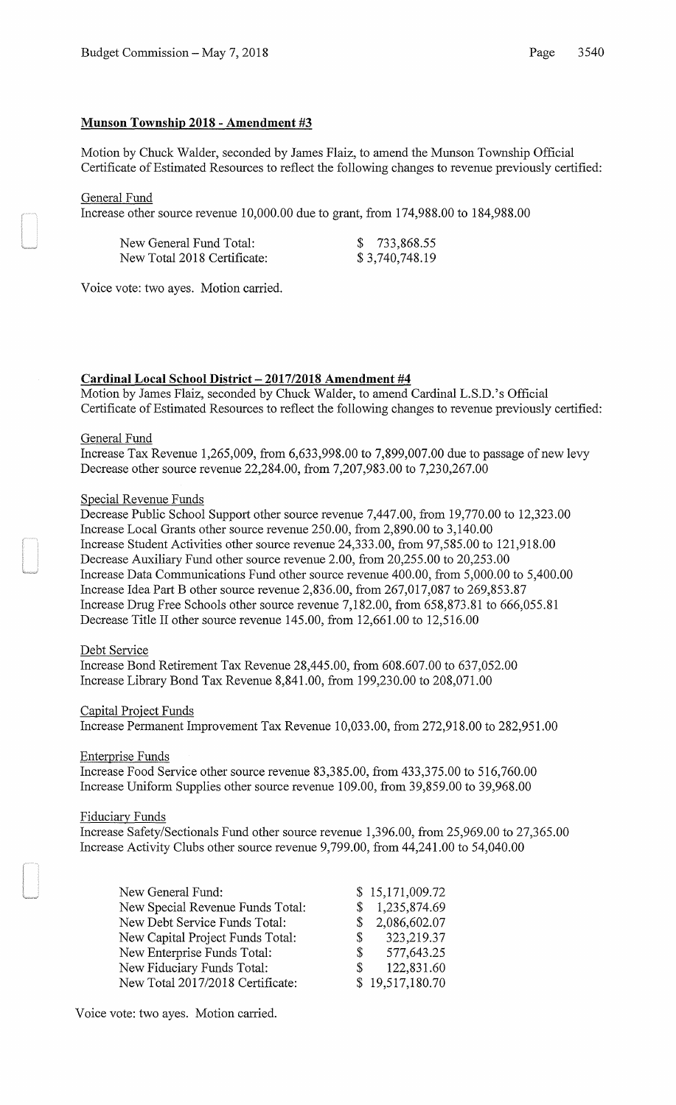# **Munson Township 2018 - Amendment #3**

Motion by Chuck Walder, seconded by James Flaiz, to amend the Munson Township Official Certificate of Estimated Resources to reflect the following changes to revenue previously certified:

General Fund

Increase other source revenue 10,000.00 due to grant, from 174,988.00 to 184,988.00

| New General Fund Total:     | \$733,868.55   |
|-----------------------------|----------------|
| New Total 2018 Certificate: | \$3,740,748.19 |

Voice vote: two ayes. Motion carried.

### **Cardinal Local School District- 2017/2018 Amendment #4**

Motion by James Flaiz, seconded by Chuck Walder, to amend Cardinal L.S.D.'s Official Certificate of Estimated Resources to reflect the following changes to revenue previously certified:

### General Fund

Increase Tax Revenue 1,265,009, from 6,633,998.00 to 7,899,007.00 due to passage of new levy Decrease other source revenue 22,284.00, from 7,207,983.00 to 7,230,267.00

#### Special Revenue Funds

Decrease Public School Support other source revenue 7,447.00, from 19,770.00 to 12,323.00 Increase Local Grants other source revenue 250.00, from 2,890.00 to 3,140.00 Increase Student Activities other source revenue 24,333.00, from 97,585.00 to 121,918.00 Decrease Auxiliary Fund other source revenue 2.00, from 20,255.00 to 20,253.00 Increase Data Communications Fund other source revenue 400.00, from 5,000.00 to 5,400.00 Increase Idea Part Bother source revenue 2,836.00, from 267,017,087 to 269,853.87 Increase Drug Free Schools other source revenue 7,182.00, from 658,873.81 to 666,055.81 Decrease Title II other source revenue 145.00, from 12,661.00 to 12,516.00

#### Debt Service

Increase Bond Retirement Tax Revenue 28,445.00, from 608.607.00 to 637,052.00 Increase Library Bond Tax Revenue 8,841.00, from 199,230.00 to 208,071.00

#### Capital Project Funds

Increase Permanent Improvement Tax Revenue 10,033.00, from 272,918.00 to 282,951.00

Enterprise Funds

Increase Food Service other source revenue 83,385.00, from 433,375.00 to 516,760.00 Increase Uniform Supplies other source revenue 109.00, from 39,859.00 to 39,968.00

#### Fiduciary Funds

Increase Safety/Sectionals Fund other source revenue 1,396.00, from 25,969.00 to 27,365.00 Increase Activity Clubs other source revenue 9,799.00, from 44,241.00 to 54,040.00

| New General Fund:                |              | \$15,171,009.72 |
|----------------------------------|--------------|-----------------|
| New Special Revenue Funds Total: |              | \$1,235,874.69  |
| New Debt Service Funds Total:    | S.           | 2,086,602.07    |
| New Capital Project Funds Total: | S.           | 323, 219.37     |
| New Enterprise Funds Total:      | <sup>S</sup> | 577,643.25      |
| New Fiduciary Funds Total:       | S.           | 122,831.60      |
| New Total 2017/2018 Certificate: |              | \$19,517,180.70 |

Voice vote: two ayes. Motion carried.